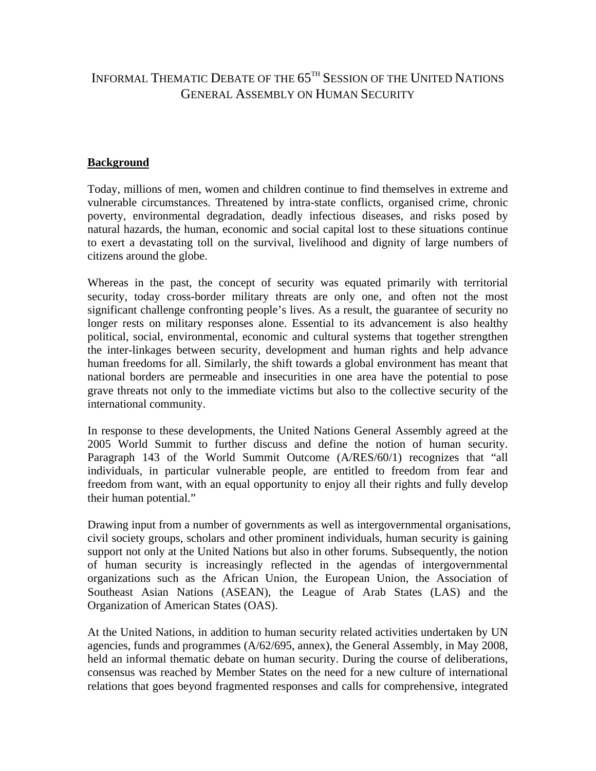## INFORMAL THEMATIC DEBATE OF THE 65TH SESSION OF THE UNITED NATIONS GENERAL ASSEMBLY ON HUMAN SECURITY

## **Background**

Today, millions of men, women and children continue to find themselves in extreme and vulnerable circumstances. Threatened by intra-state conflicts, organised crime, chronic poverty, environmental degradation, deadly infectious diseases, and risks posed by natural hazards, the human, economic and social capital lost to these situations continue to exert a devastating toll on the survival, livelihood and dignity of large numbers of citizens around the globe.

Whereas in the past, the concept of security was equated primarily with territorial security, today cross-border military threats are only one, and often not the most significant challenge confronting people's lives. As a result, the guarantee of security no longer rests on military responses alone. Essential to its advancement is also healthy political, social, environmental, economic and cultural systems that together strengthen the inter-linkages between security, development and human rights and help advance human freedoms for all. Similarly, the shift towards a global environment has meant that national borders are permeable and insecurities in one area have the potential to pose grave threats not only to the immediate victims but also to the collective security of the international community.

In response to these developments, the United Nations General Assembly agreed at the 2005 World Summit to further discuss and define the notion of human security. Paragraph 143 of the World Summit Outcome (A/RES/60/1) recognizes that "all individuals, in particular vulnerable people, are entitled to freedom from fear and freedom from want, with an equal opportunity to enjoy all their rights and fully develop their human potential."

Drawing input from a number of governments as well as intergovernmental organisations, civil society groups, scholars and other prominent individuals, human security is gaining support not only at the United Nations but also in other forums. Subsequently, the notion of human security is increasingly reflected in the agendas of intergovernmental organizations such as the African Union, the European Union, the Association of Southeast Asian Nations (ASEAN), the League of Arab States (LAS) and the Organization of American States (OAS).

At the United Nations, in addition to human security related activities undertaken by UN agencies, funds and programmes (A/62/695, annex), the General Assembly, in May 2008, held an informal thematic debate on human security. During the course of deliberations, consensus was reached by Member States on the need for a new culture of international relations that goes beyond fragmented responses and calls for comprehensive, integrated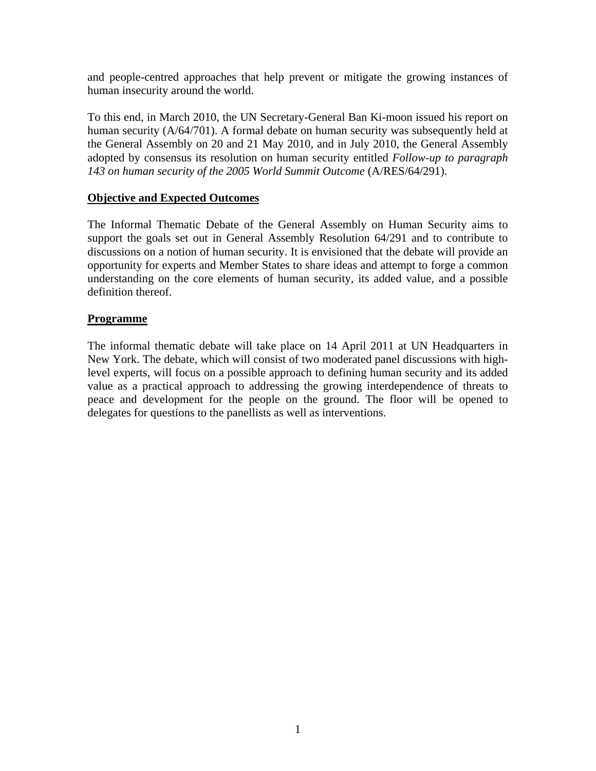and people-centred approaches that help prevent or mitigate the growing instances of human insecurity around the world.

To this end, in March 2010, the UN Secretary-General Ban Ki-moon issued his report on human security (A/64/701). A formal debate on human security was subsequently held at the General Assembly on 20 and 21 May 2010, and in July 2010, the General Assembly adopted by consensus its resolution on human security entitled *Follow-up to paragraph 143 on human security of the 2005 World Summit Outcome* (A/RES/64/291).

## **Objective and Expected Outcomes**

The Informal Thematic Debate of the General Assembly on Human Security aims to support the goals set out in General Assembly Resolution 64/291 and to contribute to discussions on a notion of human security. It is envisioned that the debate will provide an opportunity for experts and Member States to share ideas and attempt to forge a common understanding on the core elements of human security, its added value, and a possible definition thereof.

## **Programme**

The informal thematic debate will take place on 14 April 2011 at UN Headquarters in New York. The debate, which will consist of two moderated panel discussions with highlevel experts, will focus on a possible approach to defining human security and its added value as a practical approach to addressing the growing interdependence of threats to peace and development for the people on the ground. The floor will be opened to delegates for questions to the panellists as well as interventions.